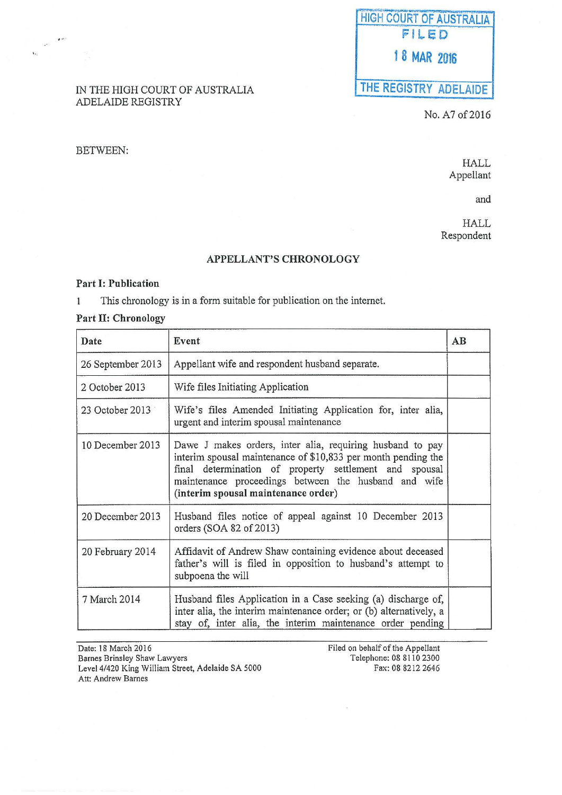# HIGH COURT OF AUSTRALIA FILED f 8 MAR 2016

## THE REGISTRY ADELAIDE

No. A7 of 2016

#### IN THE HIGH COURT OF AUSTRALIA ADELAIDE REGISTRY

#### BETWEEN:

..

 $\mathbf{r}$ 

HALL Appellant

and

HALL Respondent

#### APPELLANT'S CHRONOLOGY

#### Part I: Publication

This chronology is in a form suitable for publication on the internet.  $\mathbf{1}$ 

### Part II: Chronology

| Date              | Event                                                                                                                                                                                                                                                                               | AB |
|-------------------|-------------------------------------------------------------------------------------------------------------------------------------------------------------------------------------------------------------------------------------------------------------------------------------|----|
| 26 September 2013 | Appellant wife and respondent husband separate.                                                                                                                                                                                                                                     |    |
| 2 October 2013    | Wife files Initiating Application                                                                                                                                                                                                                                                   |    |
| 23 October 2013   | Wife's files Amended Initiating Application for, inter alia,<br>urgent and interim spousal maintenance                                                                                                                                                                              |    |
| 10 December 2013  | Dawe J makes orders, inter alia, requiring husband to pay<br>interim spousal maintenance of \$10,833 per month pending the<br>final determination of property settlement and spousal<br>maintenance proceedings between the husband and wife<br>(interim spousal maintenance order) |    |
| 20 December 2013  | Husband files notice of appeal against 10 December 2013<br>orders (SOA 82 of 2013)                                                                                                                                                                                                  |    |
| 20 February 2014  | Affidavit of Andrew Shaw containing evidence about deceased<br>father's will is filed in opposition to husband's attempt to<br>subpoena the will                                                                                                                                    |    |
| 7 March 2014      | Husband files Application in a Case seeking (a) discharge of,<br>inter alia, the interim maintenance order; or (b) alternatively, a<br>stay of, inter alia, the interim maintenance order pending                                                                                   |    |

| Date: 18 March 2016                               | Filed on behalf of the Appellant |
|---------------------------------------------------|----------------------------------|
| Barnes Brinsley Shaw Lawyers                      | Telephone: 08 8110 2300          |
| Level 4/420 King William Street, Adelaide SA 5000 | Fax: 08 8212 2646                |
| Att: Andrew Barnes                                |                                  |